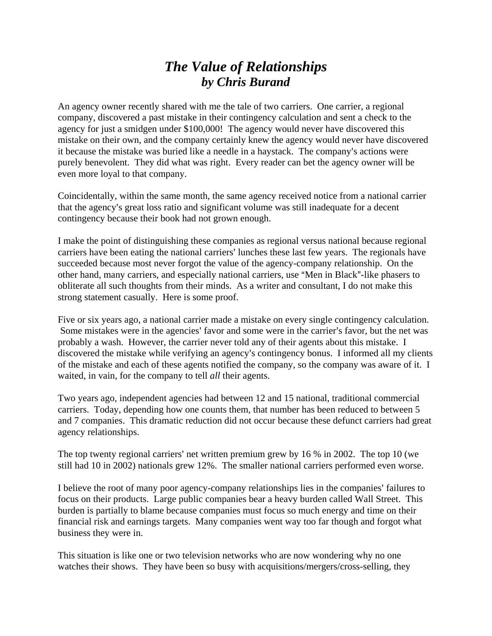## *The Value of Relationships by Chris Burand*

An agency owner recently shared with me the tale of two carriers. One carrier, a regional company, discovered a past mistake in their contingency calculation and sent a check to the agency for just a smidgen under \$100,000! The agency would never have discovered this mistake on their own, and the company certainly knew the agency would never have discovered it because the mistake was buried like a needle in a haystack. The company's actions were purely benevolent. They did what was right. Every reader can bet the agency owner will be even more loyal to that company.

Coincidentally, within the same month, the same agency received notice from a national carrier that the agency's great loss ratio and significant volume was still inadequate for a decent contingency because their book had not grown enough.

I make the point of distinguishing these companies as regional versus national because regional carriers have been eating the national carriers' lunches these last few years. The regionals have succeeded because most never forgot the value of the agency-company relationship. On the other hand, many carriers, and especially national carriers, use "Men in Black"-like phasers to obliterate all such thoughts from their minds. As a writer and consultant, I do not make this strong statement casually. Here is some proof.

Five or six years ago, a national carrier made a mistake on every single contingency calculation. Some mistakes were in the agencies' favor and some were in the carrier's favor, but the net was probably a wash. However, the carrier never told any of their agents about this mistake. I discovered the mistake while verifying an agency's contingency bonus. I informed all my clients of the mistake and each of these agents notified the company, so the company was aware of it. I waited, in vain, for the company to tell *all* their agents.

Two years ago, independent agencies had between 12 and 15 national, traditional commercial carriers. Today, depending how one counts them, that number has been reduced to between 5 and 7 companies. This dramatic reduction did not occur because these defunct carriers had great agency relationships.

The top twenty regional carriers' net written premium grew by 16 % in 2002. The top 10 (we still had 10 in 2002) nationals grew 12%. The smaller national carriers performed even worse.

I believe the root of many poor agency-company relationships lies in the companies' failures to focus on their products. Large public companies bear a heavy burden called Wall Street. This burden is partially to blame because companies must focus so much energy and time on their financial risk and earnings targets. Many companies went way too far though and forgot what business they were in.

This situation is like one or two television networks who are now wondering why no one watches their shows. They have been so busy with acquisitions/mergers/cross-selling, they